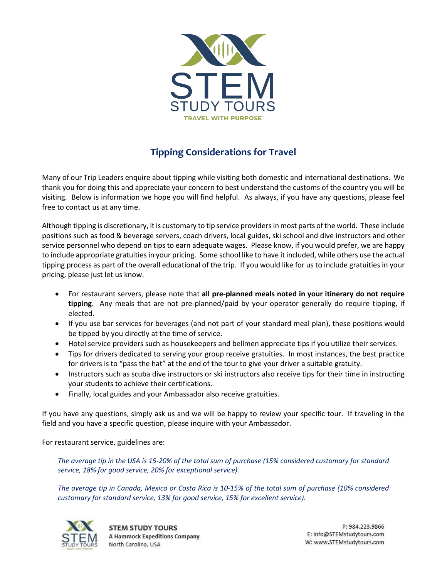

## **Tipping Considerations for Travel**

Many of our Trip Leaders enquire about tipping while visiting both domestic and international destinations. We thank you for doing this and appreciate your concern to best understand the customs of the country you will be visiting. Below is information we hope you will find helpful. As always, if you have any questions, please feel free to contact us at any time.

Although tipping is discretionary, it is customary to tip service providers inmost parts of the world. These include positions such as food & beverage servers, coach drivers, local guides, ski school and dive instructors and other service personnel who depend on tips to earn adequate wages. Please know, if you would prefer, we are happy to include appropriate gratuities in your pricing. Some school like to have it included, while others use the actual tipping process as part of the overall educational of the trip. If you would like for us to include gratuities in your pricing, please just let us know.

- For restaurant servers, please note that **all pre-planned meals noted in your itinerary do not require tipping**. Any meals that are not pre-planned/paid by your operator generally do require tipping, if elected.
- If you use bar services for beverages (and not part of your standard meal plan), these positions would be tipped by you directly at the time of service.
- Hotel service providers such as housekeepers and bellmen appreciate tips if you utilize their services.
- Tips for drivers dedicated to serving your group receive gratuities. In most instances, the best practice for drivers is to "pass the hat" at the end of the tour to give your driver a suitable gratuity.
- Instructors such as scuba dive instructors or ski instructors also receive tips for their time in instructing your students to achieve their certifications.
- Finally, local guides and your Ambassador also receive gratuities.

If you have any questions, simply ask us and we will be happy to review your specific tour. If traveling in the field and you have a specific question, please inquire with your Ambassador.

For restaurant service, guidelines are:

*The average tip in the USA is 15-20% of the total sum of purchase (15% considered customary for standard service, 18% for good service, 20% for exceptional service).* 

*The average tip in Canada, Mexico or Costa Rica is 10-15% of the total sum of purchase (10% considered customary for standard service, 13% for good service, 15% for excellent service).*